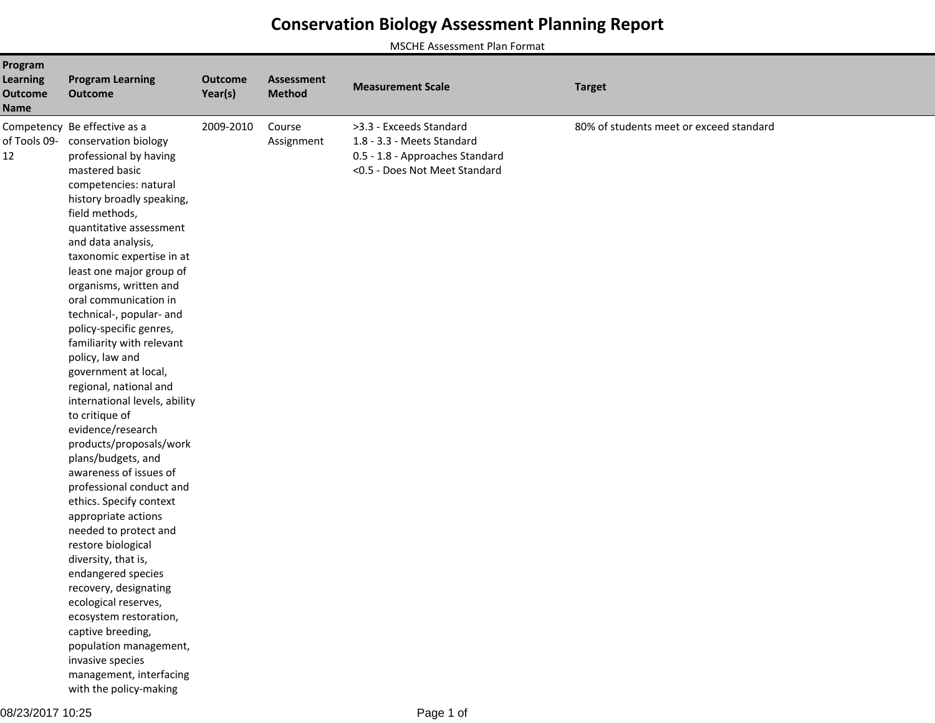## **Conservation Biology Assessment Planning Report**

MSCHE Assessment Plan Format

| Program<br><b>Learning</b><br><b>Outcome</b><br><b>Name</b> | <b>Program Learning</b><br><b>Outcome</b>                                                                                                                                                                                                                                                                                                                                                                                                                                                                                                                                                                                                                                                                                                                                                                                                                                                                                                                                                                                      | <b>Outcome</b><br>Year(s) | <b>Assessment</b><br><b>Method</b> | <b>Measurement Scale</b>                                                                                                  | <b>Target</b>                           |
|-------------------------------------------------------------|--------------------------------------------------------------------------------------------------------------------------------------------------------------------------------------------------------------------------------------------------------------------------------------------------------------------------------------------------------------------------------------------------------------------------------------------------------------------------------------------------------------------------------------------------------------------------------------------------------------------------------------------------------------------------------------------------------------------------------------------------------------------------------------------------------------------------------------------------------------------------------------------------------------------------------------------------------------------------------------------------------------------------------|---------------------------|------------------------------------|---------------------------------------------------------------------------------------------------------------------------|-----------------------------------------|
| of Tools 09-<br>12                                          | Competency Be effective as a<br>conservation biology<br>professional by having<br>mastered basic<br>competencies: natural<br>history broadly speaking,<br>field methods,<br>quantitative assessment<br>and data analysis,<br>taxonomic expertise in at<br>least one major group of<br>organisms, written and<br>oral communication in<br>technical-, popular- and<br>policy-specific genres,<br>familiarity with relevant<br>policy, law and<br>government at local,<br>regional, national and<br>international levels, ability<br>to critique of<br>evidence/research<br>products/proposals/work<br>plans/budgets, and<br>awareness of issues of<br>professional conduct and<br>ethics. Specify context<br>appropriate actions<br>needed to protect and<br>restore biological<br>diversity, that is,<br>endangered species<br>recovery, designating<br>ecological reserves,<br>ecosystem restoration,<br>captive breeding,<br>population management,<br>invasive species<br>management, interfacing<br>with the policy-making | 2009-2010                 | Course<br>Assignment               | >3.3 - Exceeds Standard<br>1.8 - 3.3 - Meets Standard<br>0.5 - 1.8 - Approaches Standard<br><0.5 - Does Not Meet Standard | 80% of students meet or exceed standard |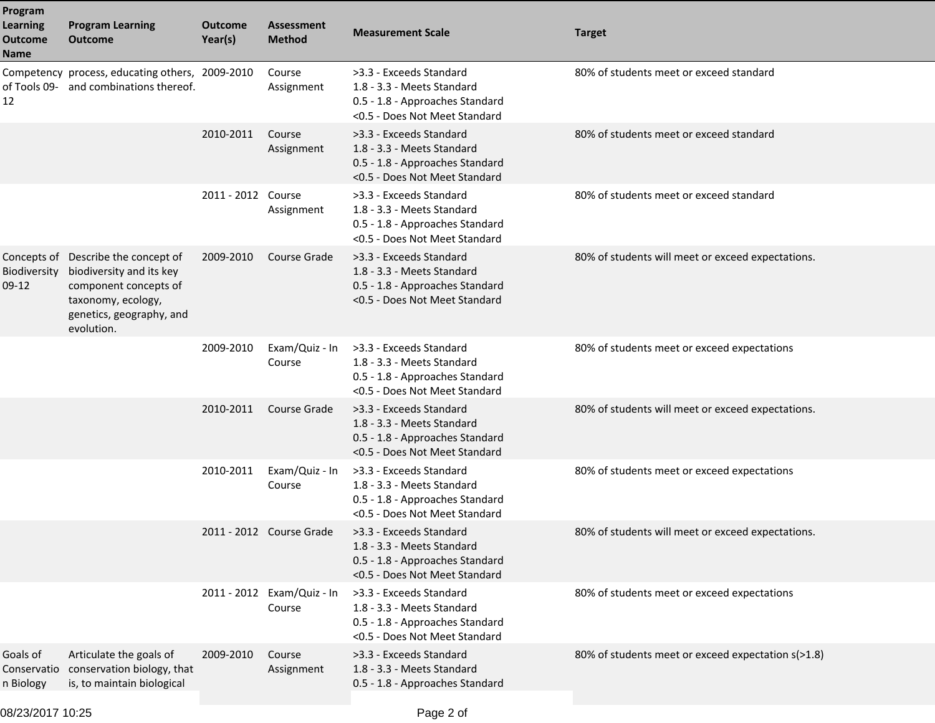| Program<br><b>Learning</b><br><b>Outcome</b><br>Name | <b>Program Learning</b><br><b>Outcome</b>                                                                                                                | <b>Outcome</b><br>Year(s) | <b>Assessment</b><br><b>Method</b>   | <b>Measurement Scale</b>                                                                                                  | <b>Target</b>                                      |
|------------------------------------------------------|----------------------------------------------------------------------------------------------------------------------------------------------------------|---------------------------|--------------------------------------|---------------------------------------------------------------------------------------------------------------------------|----------------------------------------------------|
| 12                                                   | Competency process, educating others, 2009-2010<br>of Tools 09- and combinations thereof.                                                                |                           | Course<br>Assignment                 | >3.3 - Exceeds Standard<br>1.8 - 3.3 - Meets Standard<br>0.5 - 1.8 - Approaches Standard<br><0.5 - Does Not Meet Standard | 80% of students meet or exceed standard            |
|                                                      |                                                                                                                                                          | 2010-2011                 | Course<br>Assignment                 | >3.3 - Exceeds Standard<br>1.8 - 3.3 - Meets Standard<br>0.5 - 1.8 - Approaches Standard<br><0.5 - Does Not Meet Standard | 80% of students meet or exceed standard            |
|                                                      |                                                                                                                                                          | 2011 - 2012 Course        | Assignment                           | >3.3 - Exceeds Standard<br>1.8 - 3.3 - Meets Standard<br>0.5 - 1.8 - Approaches Standard<br><0.5 - Does Not Meet Standard | 80% of students meet or exceed standard            |
| Biodiversity<br>$09-12$                              | Concepts of Describe the concept of<br>biodiversity and its key<br>component concepts of<br>taxonomy, ecology,<br>genetics, geography, and<br>evolution. | 2009-2010                 | Course Grade                         | >3.3 - Exceeds Standard<br>1.8 - 3.3 - Meets Standard<br>0.5 - 1.8 - Approaches Standard<br><0.5 - Does Not Meet Standard | 80% of students will meet or exceed expectations.  |
|                                                      |                                                                                                                                                          | 2009-2010                 | Exam/Quiz - In<br>Course             | >3.3 - Exceeds Standard<br>1.8 - 3.3 - Meets Standard<br>0.5 - 1.8 - Approaches Standard<br><0.5 - Does Not Meet Standard | 80% of students meet or exceed expectations        |
|                                                      |                                                                                                                                                          | 2010-2011                 | Course Grade                         | >3.3 - Exceeds Standard<br>1.8 - 3.3 - Meets Standard<br>0.5 - 1.8 - Approaches Standard<br><0.5 - Does Not Meet Standard | 80% of students will meet or exceed expectations.  |
|                                                      |                                                                                                                                                          | 2010-2011                 | Exam/Quiz - In<br>Course             | >3.3 - Exceeds Standard<br>1.8 - 3.3 - Meets Standard<br>0.5 - 1.8 - Approaches Standard<br><0.5 - Does Not Meet Standard | 80% of students meet or exceed expectations        |
|                                                      |                                                                                                                                                          |                           | 2011 - 2012 Course Grade             | >3.3 - Exceeds Standard<br>1.8 - 3.3 - Meets Standard<br>0.5 - 1.8 - Approaches Standard<br><0.5 - Does Not Meet Standard | 80% of students will meet or exceed expectations.  |
|                                                      |                                                                                                                                                          |                           | 2011 - 2012 Exam/Quiz - In<br>Course | >3.3 - Exceeds Standard<br>1.8 - 3.3 - Meets Standard<br>0.5 - 1.8 - Approaches Standard<br><0.5 - Does Not Meet Standard | 80% of students meet or exceed expectations        |
| Goals of<br>Conservatio<br>n Biology                 | Articulate the goals of<br>conservation biology, that<br>is, to maintain biological                                                                      | 2009-2010                 | Course<br>Assignment                 | >3.3 - Exceeds Standard<br>1.8 - 3.3 - Meets Standard<br>0.5 - 1.8 - Approaches Standard                                  | 80% of students meet or exceed expectation s(>1.8) |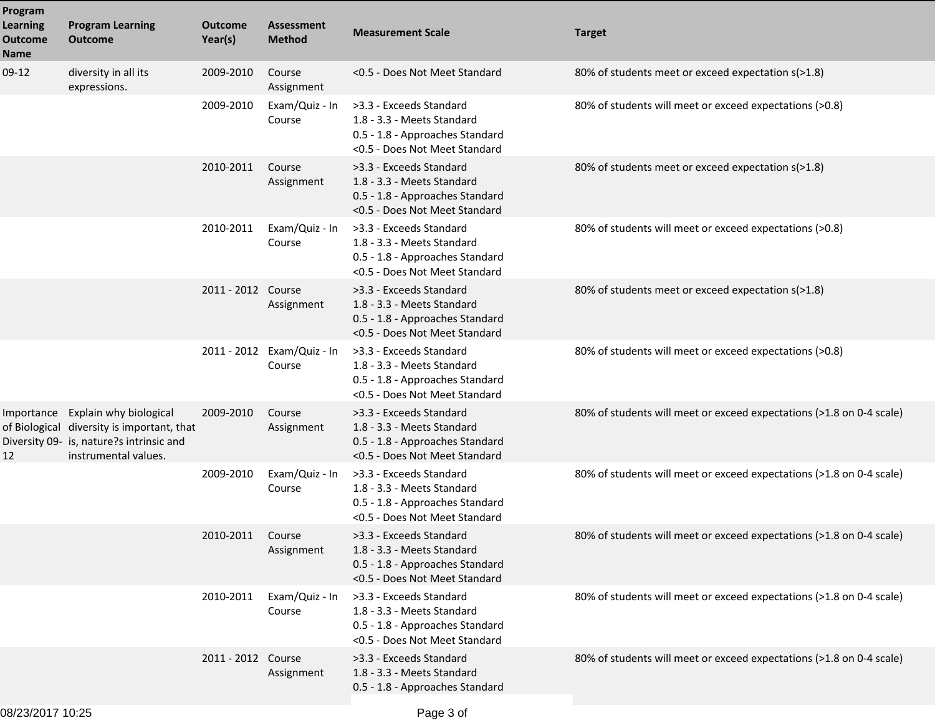| Program<br><b>Learning</b><br><b>Outcome</b><br><b>Name</b> | <b>Program Learning</b><br><b>Outcome</b>                                                                                                | <b>Outcome</b><br>Year(s) | <b>Assessment</b><br><b>Method</b>   | <b>Measurement Scale</b>                                                                                                  | <b>Target</b>                                                        |
|-------------------------------------------------------------|------------------------------------------------------------------------------------------------------------------------------------------|---------------------------|--------------------------------------|---------------------------------------------------------------------------------------------------------------------------|----------------------------------------------------------------------|
| $09-12$                                                     | diversity in all its<br>expressions.                                                                                                     | 2009-2010                 | Course<br>Assignment                 | <0.5 - Does Not Meet Standard                                                                                             | 80% of students meet or exceed expectation s(>1.8)                   |
|                                                             |                                                                                                                                          | 2009-2010                 | Exam/Quiz - In<br>Course             | >3.3 - Exceeds Standard<br>1.8 - 3.3 - Meets Standard<br>0.5 - 1.8 - Approaches Standard<br><0.5 - Does Not Meet Standard | 80% of students will meet or exceed expectations (>0.8)              |
|                                                             |                                                                                                                                          | 2010-2011                 | Course<br>Assignment                 | >3.3 - Exceeds Standard<br>1.8 - 3.3 - Meets Standard<br>0.5 - 1.8 - Approaches Standard<br><0.5 - Does Not Meet Standard | 80% of students meet or exceed expectation s(>1.8)                   |
|                                                             |                                                                                                                                          | 2010-2011                 | Exam/Quiz - In<br>Course             | >3.3 - Exceeds Standard<br>1.8 - 3.3 - Meets Standard<br>0.5 - 1.8 - Approaches Standard<br><0.5 - Does Not Meet Standard | 80% of students will meet or exceed expectations (>0.8)              |
|                                                             |                                                                                                                                          | 2011 - 2012 Course        | Assignment                           | >3.3 - Exceeds Standard<br>1.8 - 3.3 - Meets Standard<br>0.5 - 1.8 - Approaches Standard<br><0.5 - Does Not Meet Standard | 80% of students meet or exceed expectation s(>1.8)                   |
|                                                             |                                                                                                                                          |                           | 2011 - 2012 Exam/Quiz - In<br>Course | >3.3 - Exceeds Standard<br>1.8 - 3.3 - Meets Standard<br>0.5 - 1.8 - Approaches Standard<br><0.5 - Does Not Meet Standard | 80% of students will meet or exceed expectations (>0.8)              |
| Importance<br>12                                            | Explain why biological<br>of Biological diversity is important, that<br>Diversity 09- is, nature?s intrinsic and<br>instrumental values. | 2009-2010                 | Course<br>Assignment                 | >3.3 - Exceeds Standard<br>1.8 - 3.3 - Meets Standard<br>0.5 - 1.8 - Approaches Standard<br><0.5 - Does Not Meet Standard | 80% of students will meet or exceed expectations (>1.8 on 0-4 scale) |
|                                                             |                                                                                                                                          | 2009-2010                 | Exam/Quiz - In<br>Course             | >3.3 - Exceeds Standard<br>1.8 - 3.3 - Meets Standard<br>0.5 - 1.8 - Approaches Standard<br><0.5 - Does Not Meet Standard | 80% of students will meet or exceed expectations (>1.8 on 0-4 scale) |
|                                                             |                                                                                                                                          | 2010-2011 Course          | Assignment                           | >3.3 - Exceeds Standard<br>1.8 - 3.3 - Meets Standard<br>0.5 - 1.8 - Approaches Standard<br><0.5 - Does Not Meet Standard | 80% of students will meet or exceed expectations (>1.8 on 0-4 scale) |
|                                                             |                                                                                                                                          | 2010-2011                 | Exam/Quiz - In<br>Course             | >3.3 - Exceeds Standard<br>1.8 - 3.3 - Meets Standard<br>0.5 - 1.8 - Approaches Standard<br><0.5 - Does Not Meet Standard | 80% of students will meet or exceed expectations (>1.8 on 0-4 scale) |
|                                                             |                                                                                                                                          | 2011 - 2012 Course        | Assignment                           | >3.3 - Exceeds Standard<br>1.8 - 3.3 - Meets Standard<br>0.5 - 1.8 - Approaches Standard                                  | 80% of students will meet or exceed expectations (>1.8 on 0-4 scale) |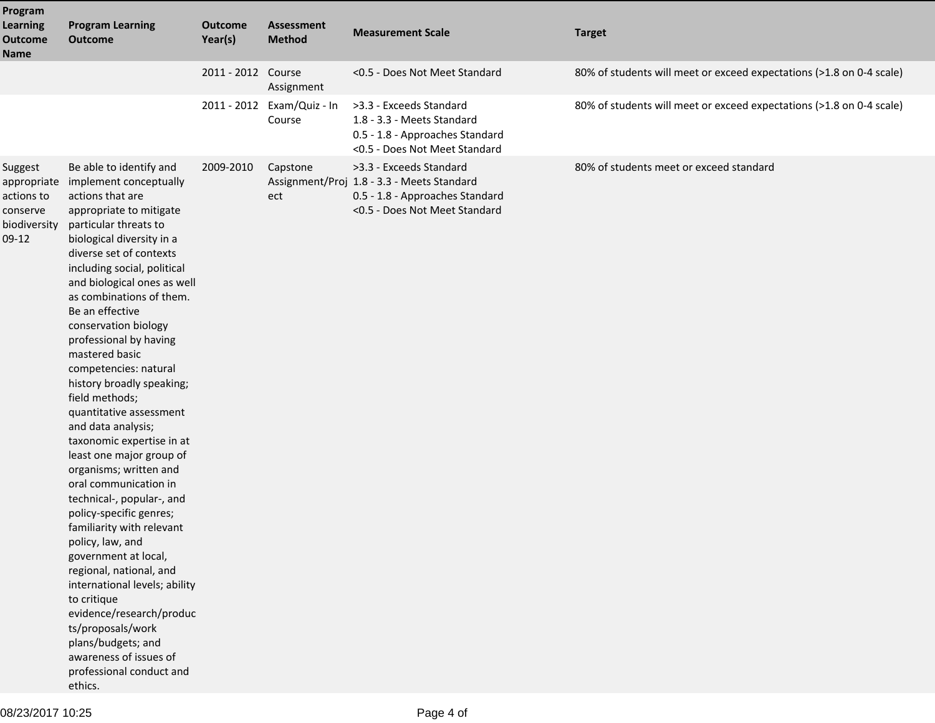| Program<br><b>Learning</b><br><b>Outcome</b><br><b>Name</b>                 | <b>Program Learning</b><br><b>Outcome</b>                                                                                                                                                                                                                                                                                                                                                                                                                                                                                                                                                                                                                                                                                                                                                                                                                                                                                                                   | <b>Outcome</b><br>Year(s) | <b>Assessment</b><br><b>Method</b> | <b>Measurement Scale</b>                                                                                                                  | <b>Target</b>                                                        |
|-----------------------------------------------------------------------------|-------------------------------------------------------------------------------------------------------------------------------------------------------------------------------------------------------------------------------------------------------------------------------------------------------------------------------------------------------------------------------------------------------------------------------------------------------------------------------------------------------------------------------------------------------------------------------------------------------------------------------------------------------------------------------------------------------------------------------------------------------------------------------------------------------------------------------------------------------------------------------------------------------------------------------------------------------------|---------------------------|------------------------------------|-------------------------------------------------------------------------------------------------------------------------------------------|----------------------------------------------------------------------|
|                                                                             |                                                                                                                                                                                                                                                                                                                                                                                                                                                                                                                                                                                                                                                                                                                                                                                                                                                                                                                                                             | 2011 - 2012 Course        | Assignment                         | <0.5 - Does Not Meet Standard                                                                                                             | 80% of students will meet or exceed expectations (>1.8 on 0-4 scale) |
|                                                                             |                                                                                                                                                                                                                                                                                                                                                                                                                                                                                                                                                                                                                                                                                                                                                                                                                                                                                                                                                             | 2011 - 2012               | Exam/Quiz - In<br>Course           | >3.3 - Exceeds Standard<br>1.8 - 3.3 - Meets Standard<br>0.5 - 1.8 - Approaches Standard<br><0.5 - Does Not Meet Standard                 | 80% of students will meet or exceed expectations (>1.8 on 0-4 scale) |
| Suggest<br>appropriate<br>actions to<br>conserve<br>biodiversity<br>$09-12$ | Be able to identify and<br>implement conceptually<br>actions that are<br>appropriate to mitigate<br>particular threats to<br>biological diversity in a<br>diverse set of contexts<br>including social, political<br>and biological ones as well<br>as combinations of them.<br>Be an effective<br>conservation biology<br>professional by having<br>mastered basic<br>competencies: natural<br>history broadly speaking;<br>field methods;<br>quantitative assessment<br>and data analysis;<br>taxonomic expertise in at<br>least one major group of<br>organisms; written and<br>oral communication in<br>technical-, popular-, and<br>policy-specific genres;<br>familiarity with relevant<br>policy, law, and<br>government at local,<br>regional, national, and<br>international levels; ability<br>to critique<br>evidence/research/produc<br>ts/proposals/work<br>plans/budgets; and<br>awareness of issues of<br>professional conduct and<br>ethics. | 2009-2010                 | Capstone<br>ect                    | >3.3 - Exceeds Standard<br>Assignment/Proj 1.8 - 3.3 - Meets Standard<br>0.5 - 1.8 - Approaches Standard<br><0.5 - Does Not Meet Standard | 80% of students meet or exceed standard                              |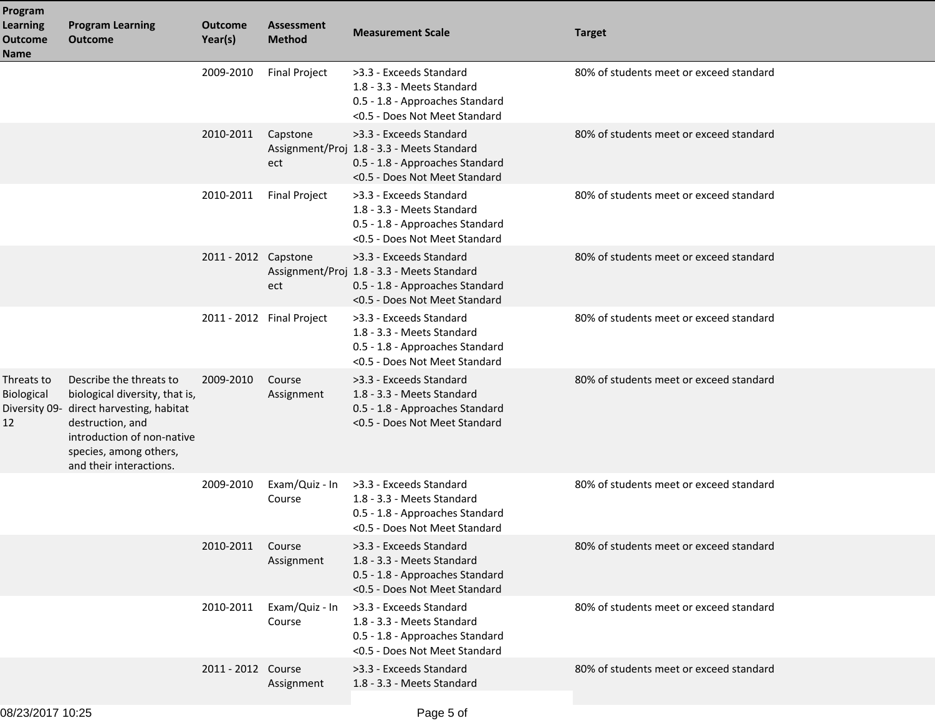| Program<br><b>Learning</b><br><b>Outcome</b><br>Name | <b>Program Learning</b><br><b>Outcome</b>                                                                                                                                                      | <b>Outcome</b><br>Year(s) | <b>Assessment</b><br><b>Method</b> | <b>Measurement Scale</b>                                                                                                                  | <b>Target</b>                           |
|------------------------------------------------------|------------------------------------------------------------------------------------------------------------------------------------------------------------------------------------------------|---------------------------|------------------------------------|-------------------------------------------------------------------------------------------------------------------------------------------|-----------------------------------------|
|                                                      |                                                                                                                                                                                                | 2009-2010                 | <b>Final Project</b>               | >3.3 - Exceeds Standard<br>1.8 - 3.3 - Meets Standard<br>0.5 - 1.8 - Approaches Standard<br><0.5 - Does Not Meet Standard                 | 80% of students meet or exceed standard |
|                                                      |                                                                                                                                                                                                | 2010-2011                 | Capstone<br>ect                    | >3.3 - Exceeds Standard<br>Assignment/Proj 1.8 - 3.3 - Meets Standard<br>0.5 - 1.8 - Approaches Standard<br><0.5 - Does Not Meet Standard | 80% of students meet or exceed standard |
|                                                      |                                                                                                                                                                                                | 2010-2011                 | <b>Final Project</b>               | >3.3 - Exceeds Standard<br>1.8 - 3.3 - Meets Standard<br>0.5 - 1.8 - Approaches Standard<br><0.5 - Does Not Meet Standard                 | 80% of students meet or exceed standard |
|                                                      |                                                                                                                                                                                                | 2011 - 2012 Capstone      | ect                                | >3.3 - Exceeds Standard<br>Assignment/Proj 1.8 - 3.3 - Meets Standard<br>0.5 - 1.8 - Approaches Standard<br><0.5 - Does Not Meet Standard | 80% of students meet or exceed standard |
|                                                      |                                                                                                                                                                                                |                           | 2011 - 2012 Final Project          | >3.3 - Exceeds Standard<br>1.8 - 3.3 - Meets Standard<br>0.5 - 1.8 - Approaches Standard<br><0.5 - Does Not Meet Standard                 | 80% of students meet or exceed standard |
| Threats to<br>Biological<br>Diversity 09-<br>12      | Describe the threats to<br>biological diversity, that is,<br>direct harvesting, habitat<br>destruction, and<br>introduction of non-native<br>species, among others,<br>and their interactions. | 2009-2010                 | Course<br>Assignment               | >3.3 - Exceeds Standard<br>1.8 - 3.3 - Meets Standard<br>0.5 - 1.8 - Approaches Standard<br><0.5 - Does Not Meet Standard                 | 80% of students meet or exceed standard |
|                                                      |                                                                                                                                                                                                | 2009-2010                 | Exam/Quiz - In<br>Course           | >3.3 - Exceeds Standard<br>1.8 - 3.3 - Meets Standard<br>0.5 - 1.8 - Approaches Standard<br><0.5 - Does Not Meet Standard                 | 80% of students meet or exceed standard |
|                                                      |                                                                                                                                                                                                | 2010-2011                 | Course<br>Assignment               | >3.3 - Exceeds Standard<br>1.8 - 3.3 - Meets Standard<br>0.5 - 1.8 - Approaches Standard<br><0.5 - Does Not Meet Standard                 | 80% of students meet or exceed standard |
|                                                      |                                                                                                                                                                                                | 2010-2011                 | Exam/Quiz - In<br>Course           | >3.3 - Exceeds Standard<br>1.8 - 3.3 - Meets Standard<br>0.5 - 1.8 - Approaches Standard<br><0.5 - Does Not Meet Standard                 | 80% of students meet or exceed standard |
|                                                      |                                                                                                                                                                                                | 2011 - 2012 Course        | Assignment                         | >3.3 - Exceeds Standard<br>1.8 - 3.3 - Meets Standard                                                                                     | 80% of students meet or exceed standard |